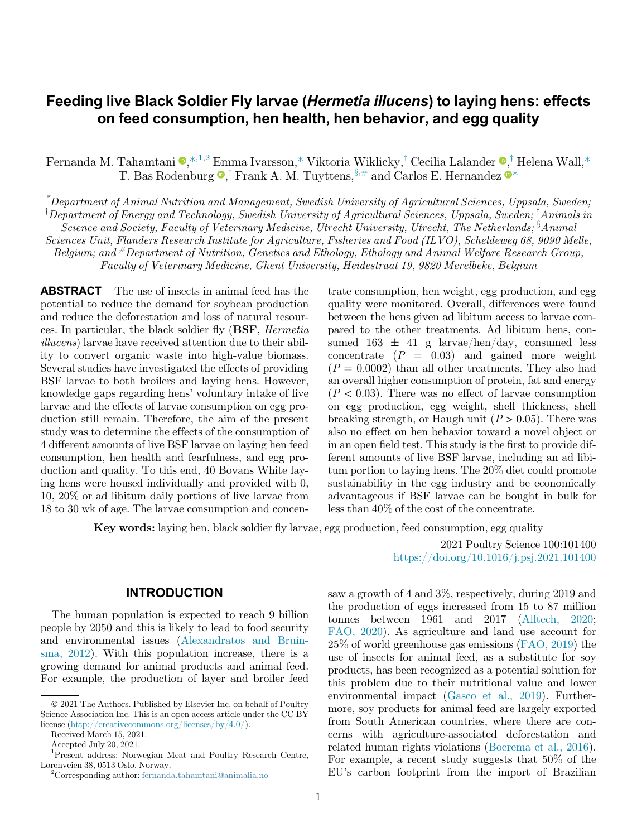# Feeding live Black Soldier Fly larvae (Hermetia illucens) to laying hens: effects on feed consumption, hen health, hen behavior, and egg quality

Fernanda M. Tahamtani  $\mathbf{Q},*,^{1,2}$  $\mathbf{Q},*,^{1,2}$  $\mathbf{Q},*,^{1,2}$  $\mathbf{Q},*,^{1,2}$  $\mathbf{Q},*,^{1,2}$  Emma Ivarsson,\* Viktoria Wiklick[y](#page-0-0)[,](#page-0-0)<sup>†</sup> Cecilia Lalander  $\mathbf{Q},^{\dagger}$  [Helena Wall,\\*](#page-0-0) T. Bas Rodenburg  $\bullet$ [,](#page-0-3)<sup>†</sup> [Frank](#page-0-4) [A.](#page-0-4) [M.](#page-0-4) [Tuyttens,](#page-0-4)  $\S$ ,# and Carlos E. Hernande[z](#page-0-3)  $\bullet^*$  $\bullet^*$ 

<span id="page-0-4"></span><span id="page-0-3"></span><span id="page-0-0"></span>\* Department of Animal Nutrition and Management, Swedish University of Agricultural Sciences, Uppsala, Sweden;  $^\dagger$ Department of Energy and Technology, Swedish University of Agricultural Sciences, Uppsala, Sweden;  $^\ddagger$ Animals in Science and Society, Faculty of Veterinary Medicine, Utrecht University, Utrecht, The Netherlands; <sup>3</sup>Animal Sciences Unit, Flanders Research Institute for Agriculture, Fisheries and Food (ILVO), Scheldeweg 68, 9090 Melle, Belgium; and #Department of Nutrition, Genetics and Ethology, Ethology and Animal Welfare Research Group, Faculty of Veterinary Medicine, Ghent University, Heidestraat 19, 9820 Merelbeke, Belgium

ABSTRACT The use of insects in animal feed has the potential to reduce the demand for soybean production and reduce the deforestation and loss of natural resources. In particular, the black soldier fly (BSF, Hermetia illucens) larvae have received attention due to their ability to convert organic waste into high-value biomass. Several studies have investigated the effects of providing BSF larvae to both broilers and laying hens. However, knowledge gaps regarding hens' voluntary intake of live larvae and the effects of larvae consumption on egg production still remain. Therefore, the aim of the present study was to determine the effects of the consumption of 4 different amounts of live BSF larvae on laying hen feed consumption, hen health and fearfulness, and egg production and quality. To this end, 40 Bovans White laying hens were housed individually and provided with 0, 10, 20% or ad libitum daily portions of live larvae from 18 to 30 wk of age. The larvae consumption and concentrate consumption, hen weight, egg production, and egg quality were monitored. Overall, differences were found between the hens given ad libitum access to larvae compared to the other treatments. Ad libitum hens, consumed  $163 \pm 41$  g larvae/hen/day, consumed less concentrate  $(P = 0.03)$  and gained more weight  $(P = 0.0002)$  than all other treatments. They also had an overall higher consumption of protein, fat and energy  $(P < 0.03)$ . There was no effect of larvae consumption on egg production, egg weight, shell thickness, shell breaking strength, or Haugh unit  $(P > 0.05)$ . There was also no effect on hen behavior toward a novel object or in an open field test. This study is the first to provide different amounts of live BSF larvae, including an ad libitum portion to laying hens. The 20% diet could promote sustainability in the egg industry and be economically advantageous if BSF larvae can be bought in bulk for less than 40% of the cost of the concentrate.

Key words: laying hen, black soldier fly larvae, egg production, feed consumption, egg quality

### INTRODUCTION

The human population is expected to reach 9 billion people by 2050 and this is likely to lead to food security and environmental issues [\(Alexandratos and Bruin](#page-9-0)[sma, 2012\)](#page-9-0). With this population increase, there is a growing demand for animal products and animal feed. For example, the production of layer and broiler feed

2021 Poultry Science 100:101400 <https://doi.org/10.1016/j.psj.2021.101400>

saw a growth of 4 and 3%, respectively, during 2019 and the production of eggs increased from 15 to 87 million tonnes between 1961 and 2017 [\(Alltech, 2020](#page-9-1); [FAO, 2020](#page-10-0)). As agriculture and land use account for 25% of world greenhouse gas emissions [\(FAO, 2019\)](#page-9-2) the use of insects for animal feed, as a substitute for soy products, has been recognized as a potential solution for this problem due to their nutritional value and lower environmental impact ([Gasco et al., 2019\)](#page-10-1). Furthermore, soy products for animal feed are largely exported from South American countries, where there are concerns with agriculture-associated deforestation and related human rights violations [\(Boerema et al., 2016](#page-9-3)). For example, a recent study suggests that 50% of the EU's carbon footprint from the import of Brazilian

2021 The Authors. Published by Elsevier Inc. on behalf of Poultry Science Association Inc. This is an open access article under the CC BY license [\(http://creativecommons.org/licenses/by/4.0/](http://creativecommons.org/licenses/by/4.0/)).

Received March 15, 2021.

Accepted July 20, 2021.

<span id="page-0-1"></span><sup>1</sup> Present address: Norwegian Meat and Poultry Research Centre, Lorenveien 38, 0513 Oslo, Norway. <sup>2</sup>

<span id="page-0-2"></span>Corresponding author: [fernanda.tahamtani@animalia.no](mailto:fernanda.tahamtani@animalia.no)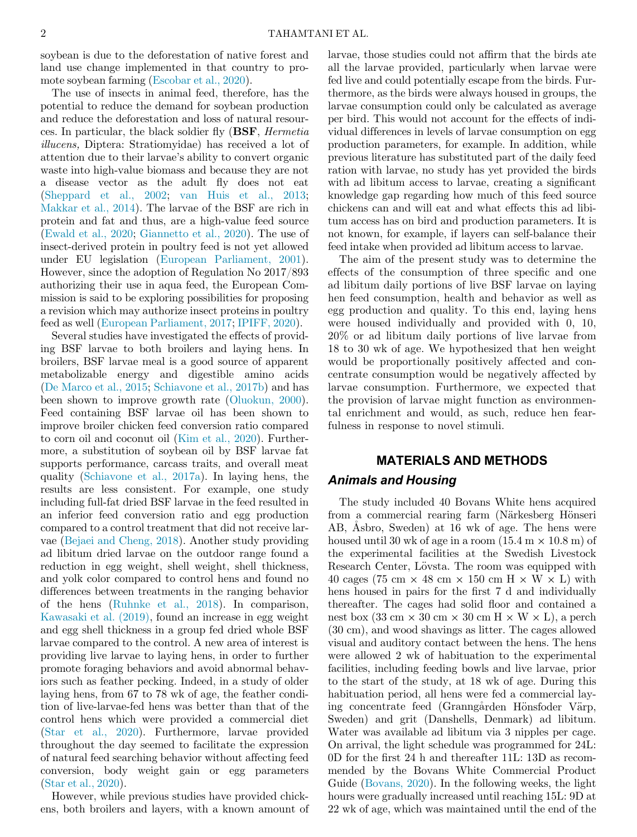soybean is due to the deforestation of native forest and land use change implemented in that country to promote soybean farming ([Escobar et al., 2020\)](#page-9-4).

The use of insects in animal feed, therefore, has the potential to reduce the demand for soybean production and reduce the deforestation and loss of natural resources. In particular, the black soldier fly (BSF, Hermetia illucens, Diptera: Stratiomyidae) has received a lot of attention due to their larvae's ability to convert organic waste into high-value biomass and because they are not a disease vector as the adult fly does not eat ([Sheppard et al., 2002](#page-10-2); [van Huis et al., 2013](#page-10-3); [Makkar et al., 2014\)](#page-10-4). The larvae of the BSF are rich in protein and fat and thus, are a high-value feed source ([Ewald et al., 2020](#page-9-5); [Giannetto et al., 2020\)](#page-10-5). The use of insect-derived protein in poultry feed is not yet allowed under EU legislation [\(European Parliament, 2001](#page-9-6)). However, since the adoption of Regulation No 2017/893 authorizing their use in aqua feed, the European Commission is said to be exploring possibilities for proposing a revision which may authorize insect proteins in poultry feed as well ([European Parliament, 2017](#page-9-7); [IPIFF, 2020\)](#page-10-6).

Several studies have investigated the effects of providing BSF larvae to both broilers and laying hens. In broilers, BSF larvae meal is a good source of apparent metabolizable energy and digestible amino acids ([De Marco et al., 2015](#page-9-8); [Schiavone et al., 2017b](#page-10-7)) and has been shown to improve growth rate ([Oluokun, 2000](#page-10-8)). Feed containing BSF larvae oil has been shown to improve broiler chicken feed conversion ratio compared to corn oil and coconut oil [\(Kim et al., 2020](#page-10-9)). Furthermore, a substitution of soybean oil by BSF larvae fat supports performance, carcass traits, and overall meat quality ([Schiavone et al., 2017a\)](#page-10-10). In laying hens, the results are less consistent. For example, one study including full-fat dried BSF larvae in the feed resulted in an inferior feed conversion ratio and egg production compared to a control treatment that did not receive larvae [\(Bejaei and Cheng, 2018](#page-9-9)). Another study providing ad libitum dried larvae on the outdoor range found a reduction in egg weight, shell weight, shell thickness, and yolk color compared to control hens and found no differences between treatments in the ranging behavior of the hens ([Ruhnke et al., 2018\)](#page-10-11). In comparison, [Kawasaki et al. \(2019\)](#page-10-12), found an increase in egg weight and egg shell thickness in a group fed dried whole BSF larvae compared to the control. A new area of interest is providing live larvae to laying hens, in order to further promote foraging behaviors and avoid abnormal behaviors such as feather pecking. Indeed, in a study of older laying hens, from 67 to 78 wk of age, the feather condition of live-larvae-fed hens was better than that of the control hens which were provided a commercial diet ([Star et al., 2020\)](#page-10-13). Furthermore, larvae provided throughout the day seemed to facilitate the expression of natural feed searching behavior without affecting feed conversion, body weight gain or egg parameters ([Star et al., 2020\)](#page-10-13).

However, while previous studies have provided chickens, both broilers and layers, with a known amount of larvae, those studies could not affirm that the birds ate all the larvae provided, particularly when larvae were fed live and could potentially escape from the birds. Furthermore, as the birds were always housed in groups, the larvae consumption could only be calculated as average per bird. This would not account for the effects of individual differences in levels of larvae consumption on egg production parameters, for example. In addition, while previous literature has substituted part of the daily feed ration with larvae, no study has yet provided the birds with ad libitum access to larvae, creating a significant knowledge gap regarding how much of this feed source chickens can and will eat and what effects this ad libitum access has on bird and production parameters. It is not known, for example, if layers can self-balance their feed intake when provided ad libitum access to larvae.

The aim of the present study was to determine the effects of the consumption of three specific and one ad libitum daily portions of live BSF larvae on laying hen feed consumption, health and behavior as well as egg production and quality. To this end, laying hens were housed individually and provided with 0, 10, 20% or ad libitum daily portions of live larvae from 18 to 30 wk of age. We hypothesized that hen weight would be proportionally positively affected and concentrate consumption would be negatively affected by larvae consumption. Furthermore, we expected that the provision of larvae might function as environmental enrichment and would, as such, reduce hen fearfulness in response to novel stimuli.

# MATERIALS AND METHODS Animals and Housing

The study included 40 Bovans White hens acquired from a commercial rearing farm (Närkesberg Hönseri AB, Åsbro, Sweden) at 16 wk of age. The hens were housed until 30 wk of age in a room  $(15.4 \text{ m} \times 10.8 \text{ m})$  of the experimental facilities at the Swedish Livestock Research Center, Lövsta. The room was equipped with 40 cages (75 cm  $\times$  48 cm  $\times$  150 cm H  $\times$  W  $\times$  L) with hens housed in pairs for the first 7 d and individually thereafter. The cages had solid floor and contained a nest box (33 cm  $\times$  30 cm  $\times$  30 cm H  $\times$  W  $\times$  L), a perch (30 cm), and wood shavings as litter. The cages allowed visual and auditory contact between the hens. The hens were allowed 2 wk of habituation to the experimental facilities, including feeding bowls and live larvae, prior to the start of the study, at 18 wk of age. During this habituation period, all hens were fed a commercial laying concentrate feed (Granngården Hönsfoder Värp, Sweden) and grit (Danshells, Denmark) ad libitum. Water was available ad libitum via 3 nipples per cage. On arrival, the light schedule was programmed for 24L: 0D for the first 24 h and thereafter 11L: 13D as recommended by the Bovans White Commercial Product Guide ([Bovans, 2020\)](#page-9-10). In the following weeks, the light hours were gradually increased until reaching 15L: 9D at 22 wk of age, which was maintained until the end of the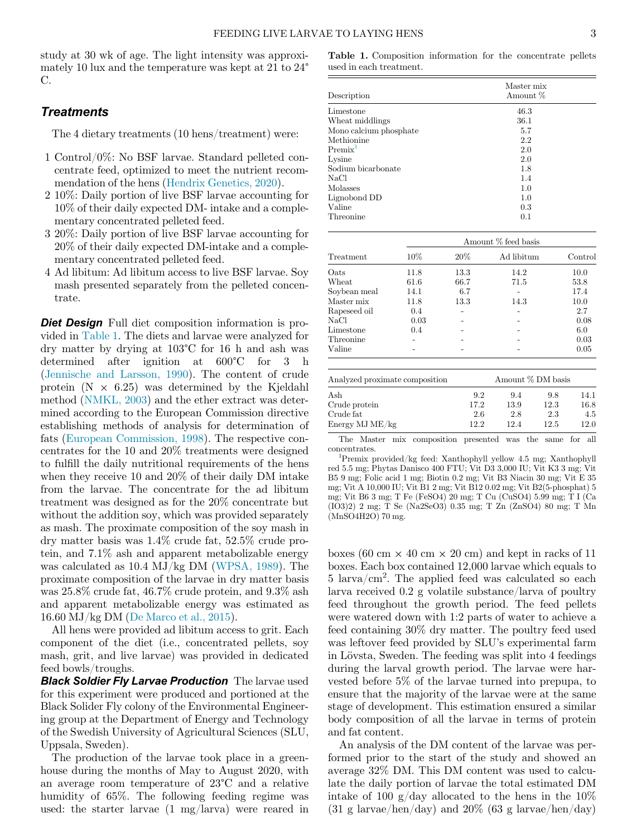<span id="page-2-0"></span>study at 30 wk of age. The light intensity was approximately 10 lux and the temperature was kept at 21 to 24° C.

# **Treatments**

The 4 dietary treatments (10 hens/treatment) were:

- 1 Control/0%: No BSF larvae. Standard pelleted concentrate feed, optimized to meet the nutrient recommendation of the hens ([Hendrix Genetics, 2020](#page-10-14)).
- 2 10%: Daily portion of live BSF larvae accounting for 10% of their daily expected DM- intake and a complementary concentrated pelleted feed.
- 3 20%: Daily portion of live BSF larvae accounting for 20% of their daily expected DM-intake and a complementary concentrated pelleted feed.
- 4 Ad libitum: Ad libitum access to live BSF larvae. Soy mash presented separately from the pelleted concentrate.

<span id="page-2-1"></span>**Diet Design** Full diet composition information is provided in [Table 1](#page-2-0). The diets and larvae were analyzed for dry matter by drying at 103°C for 16 h and ash was determined after ignition at 600°C for 3 h ([Jennische and Larsson, 1990](#page-10-15)). The content of crude protein  $(N \times 6.25)$  was determined by the Kjeldahl method ([NMKL, 2003\)](#page-10-16) and the ether extract was determined according to the European Commission directive establishing methods of analysis for determination of fats ([European Commission, 1998\)](#page-9-11). The respective concentrates for the 10 and 20% treatments were designed to fulfill the daily nutritional requirements of the hens when they receive 10 and 20% of their daily DM intake from the larvae. The concentrate for the ad libitum treatment was designed as for the 20% concentrate but without the addition soy, which was provided separately as mash. The proximate composition of the soy mash in dry matter basis was 1.4% crude fat, 52.5% crude protein, and 7.1% ash and apparent metabolizable energy was calculated as 10.4 MJ/kg DM ([WPSA, 1989\)](#page-10-17). The proximate composition of the larvae in dry matter basis was 25.8% crude fat, 46.7% crude protein, and 9.3% ash and apparent metabolizable energy was estimated as 16.60 MJ/kg DM [\(De Marco et al., 2015\)](#page-9-8).

All hens were provided ad libitum access to grit. Each component of the diet (i.e., concentrated pellets, soy mash, grit, and live larvae) was provided in dedicated feed bowls/troughs.

**Black Soldier Fly Larvae Production** The larvae used for this experiment were produced and portioned at the Black Solider Fly colony of the Environmental Engineering group at the Department of Energy and Technology of the Swedish University of Agricultural Sciences (SLU, Uppsala, Sweden).

The production of the larvae took place in a greenhouse during the months of May to August 2020, with an average room temperature of 23°C and a relative humidity of 65%. The following feeding regime was used: the starter larvae (1 mg/larva) were reared in

Table 1. Composition information for the concentrate pellets used in each treatment.

| Description            | Master mix<br>Amount % |  |  |
|------------------------|------------------------|--|--|
| Limestone              | 46.3                   |  |  |
| Wheat middlings        | 36.1                   |  |  |
| Mono calcium phosphate | 5.7                    |  |  |
| Methionine             | 2.2                    |  |  |
| $Premix^{\perp}$       | 2.0                    |  |  |
| Lysine                 | 2.0                    |  |  |
| Sodium bicarbonate     | 1.8                    |  |  |
| NaCl                   | 1.4                    |  |  |
| Molasses               | 1.0                    |  |  |
| Lignobond DD           | 1.0                    |  |  |
| Valine                 | 0.3                    |  |  |
| Threonine              | 0.1                    |  |  |

|              | Amount % feed basis |      |            |         |  |  |
|--------------|---------------------|------|------------|---------|--|--|
| Treatment    | 10%                 | 20%  | Ad libitum | Control |  |  |
| Oats         | 11.8                | 13.3 | 14.2       | 10.0    |  |  |
| Wheat        | 61.6                | 66.7 | 71.5       | 53.8    |  |  |
| Soybean meal | 14.1                | 6.7  |            | 17.4    |  |  |
| Master mix   | 11.8                | 13.3 | 14.3       | 10.0    |  |  |
| Rapeseed oil | 0.4                 |      |            | 2.7     |  |  |
| NaCl         | 0.03                |      |            | 0.08    |  |  |
| Limestone    | 0.4                 |      |            | 6.0     |  |  |
| Threonine    |                     |      |            | 0.03    |  |  |
| Valine       |                     |      |            | 0.05    |  |  |
|              |                     |      |            |         |  |  |
|              |                     |      |            |         |  |  |

| Analyzed proximate composition | Amount % DM basis |      |      |      |
|--------------------------------|-------------------|------|------|------|
| Ash                            | 9.2               | 9.4  | 9.8  | 14.1 |
| Crude protein                  | 17.2              | 13.9 | 12.3 | 16.8 |
| Crude fat                      | 2.6               | 2.8  | 2.3  | 4.5  |
| Energy MJ ME/kg                | 12.2              | 12.4 | 12.5 | 12.0 |

The Master mix composition presented was the same for all concentrates.

Premix provided/kg feed: Xanthophyll yellow 4.5 mg; Xanthophyll red 5.5 mg; Phytas Danisco 400 FTU; Vit D3 3,000 IU; Vit K3 3 mg; Vit B5 9 mg; Folic acid 1 mg; Biotin 0.2 mg; Vit B3 Niacin 30 mg; Vit E 35 mg; Vit A 10,000 IU; Vit B1 2 mg; Vit B12 0.02 mg; Vit B2(5-phosphat) 5 mg; Vit B6 3 mg; T Fe (FeSO4) 20 mg; T Cu (CuSO4) 5.99 mg; T I (Ca (IO3)2) 2 mg; T Se (Na2SeO3) 0.35 mg; T Zn (ZnSO4) 80 mg; T Mn (MnSO4H2O) 70 mg.

boxes (60 cm  $\times$  40 cm  $\times$  20 cm) and kept in racks of 11 boxes. Each box contained 12,000 larvae which equals to  $5 \arva/cm^2$ . The applied feed was calculated so each larva received 0.2 g volatile substance/larva of poultry feed throughout the growth period. The feed pellets were watered down with 1:2 parts of water to achieve a feed containing 30% dry matter. The poultry feed used was leftover feed provided by SLU's experimental farm in Lövsta, Sweden. The feeding was split into 4 feedings during the larval growth period. The larvae were harvested before 5% of the larvae turned into prepupa, to ensure that the majority of the larvae were at the same stage of development. This estimation ensured a similar body composition of all the larvae in terms of protein and fat content.

An analysis of the DM content of the larvae was performed prior to the start of the study and showed an average 32% DM. This DM content was used to calculate the daily portion of larvae the total estimated DM intake of 100 g/day allocated to the hens in the  $10\%$  $(31 \text{ g larvae/hen/day})$  and  $20\%$   $(63 \text{ g larvae/hen/day})$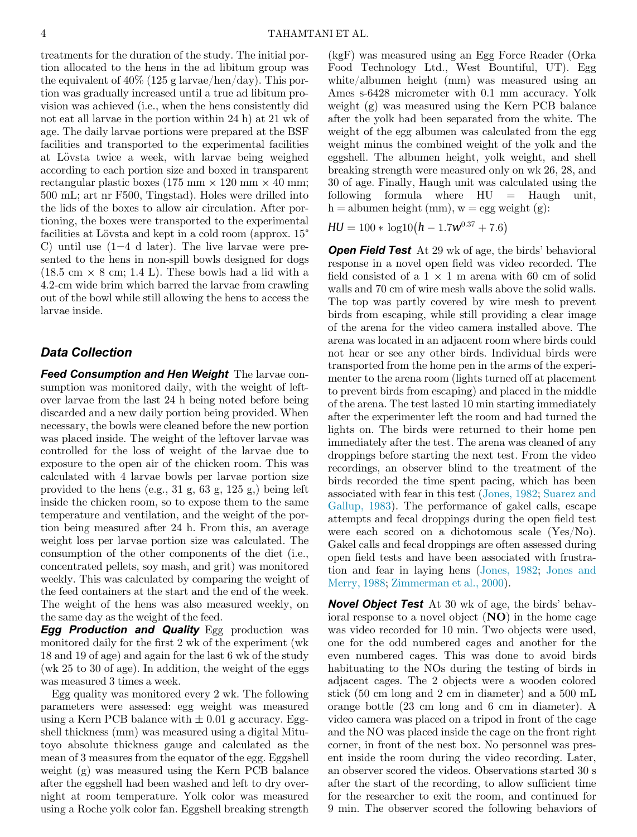treatments for the duration of the study. The initial portion allocated to the hens in the ad libitum group was the equivalent of  $40\%$  (125 g larvae/hen/day). This portion was gradually increased until a true ad libitum provision was achieved (i.e., when the hens consistently did not eat all larvae in the portion within 24 h) at 21 wk of age. The daily larvae portions were prepared at the BSF facilities and transported to the experimental facilities at Lövsta twice a week, with larvae being weighed according to each portion size and boxed in transparent rectangular plastic boxes (175 mm  $\times$  120 mm  $\times$  40 mm; 500 mL; art nr F500, Tingstad). Holes were drilled into the lids of the boxes to allow air circulation. After portioning, the boxes were transported to the experimental facilities at Lövsta and kept in a cold room (approx.  $15^{\circ}$ ) C) until use (1−4 d later). The live larvae were presented to the hens in non-spill bowls designed for dogs  $(18.5 \text{ cm} \times 8 \text{ cm}; 1.4 \text{ L})$ . These bowls had a lid with a 4.2-cm wide brim which barred the larvae from crawling out of the bowl while still allowing the hens to access the larvae inside.

# Data Collection

Feed Consumption and Hen Weight The larvae consumption was monitored daily, with the weight of leftover larvae from the last 24 h being noted before being discarded and a new daily portion being provided. When necessary, the bowls were cleaned before the new portion was placed inside. The weight of the leftover larvae was controlled for the loss of weight of the larvae due to exposure to the open air of the chicken room. This was calculated with 4 larvae bowls per larvae portion size provided to the hens (e.g., 31 g, 63 g, 125 g,) being left inside the chicken room, so to expose them to the same temperature and ventilation, and the weight of the portion being measured after 24 h. From this, an average weight loss per larvae portion size was calculated. The consumption of the other components of the diet (i.e., concentrated pellets, soy mash, and grit) was monitored weekly. This was calculated by comparing the weight of the feed containers at the start and the end of the week. The weight of the hens was also measured weekly, on the same day as the weight of the feed.

**Egg Production and Quality** Egg production was monitored daily for the first 2 wk of the experiment (wk 18 and 19 of age) and again for the last 6 wk of the study (wk 25 to 30 of age). In addition, the weight of the eggs was measured 3 times a week.

Egg quality was monitored every 2 wk. The following parameters were assessed: egg weight was measured using a Kern PCB balance with  $\pm 0.01$  g accuracy. Eggshell thickness (mm) was measured using a digital Mitutoyo absolute thickness gauge and calculated as the mean of 3 measures from the equator of the egg. Eggshell weight (g) was measured using the Kern PCB balance after the eggshell had been washed and left to dry overnight at room temperature. Yolk color was measured using a Roche yolk color fan. Eggshell breaking strength

(kgF) was measured using an Egg Force Reader (Orka Food Technology Ltd., West Bountiful, UT). Egg white/albumen height (mm) was measured using an Ames s-6428 micrometer with 0.1 mm accuracy. Yolk weight (g) was measured using the Kern PCB balance after the yolk had been separated from the white. The weight of the egg albumen was calculated from the egg weight minus the combined weight of the yolk and the eggshell. The albumen height, yolk weight, and shell breaking strength were measured only on wk 26, 28, and 30 of age. Finally, Haugh unit was calculated using the following formula where HU = Haugh unit, h = albumen height (mm),  $w = egg$  weight (g):

 $HU = 100 * log10 (h - 1.7w^{0.37} + 7.6)$ 

**Open Field Test** At 29 wk of age, the birds' behavioral response in a novel open field was video recorded. The field consisted of a  $1 \times 1$  m arena with 60 cm of solid walls and 70 cm of wire mesh walls above the solid walls. The top was partly covered by wire mesh to prevent birds from escaping, while still providing a clear image of the arena for the video camera installed above. The arena was located in an adjacent room where birds could not hear or see any other birds. Individual birds were transported from the home pen in the arms of the experimenter to the arena room (lights turned off at placement to prevent birds from escaping) and placed in the middle of the arena. The test lasted 10 min starting immediately after the experimenter left the room and had turned the lights on. The birds were returned to their home pen immediately after the test. The arena was cleaned of any droppings before starting the next test. From the video recordings, an observer blind to the treatment of the birds recorded the time spent pacing, which has been associated with fear in this test ([Jones, 1982;](#page-10-18) [Suarez and](#page-10-19) [Gallup, 1983](#page-10-19)). The performance of gakel calls, escape attempts and fecal droppings during the open field test were each scored on a dichotomous scale (Yes/No). Gakel calls and fecal droppings are often assessed during open field tests and have been associated with frustration and fear in laying hens [\(Jones, 1982](#page-10-18); [Jones and](#page-10-20) [Merry, 1988;](#page-10-20) [Zimmerman et al., 2000](#page-10-21)).

Novel Object Test At 30 wk of age, the birds' behavioral response to a novel object  $(NO)$  in the home cage was video recorded for 10 min. Two objects were used, one for the odd numbered cages and another for the even numbered cages. This was done to avoid birds habituating to the NOs during the testing of birds in adjacent cages. The 2 objects were a wooden colored stick (50 cm long and 2 cm in diameter) and a 500 mL orange bottle (23 cm long and 6 cm in diameter). A video camera was placed on a tripod in front of the cage and the NO was placed inside the cage on the front right corner, in front of the nest box. No personnel was present inside the room during the video recording. Later, an observer scored the videos. Observations started 30 s after the start of the recording, to allow sufficient time for the researcher to exit the room, and continued for 9 min. The observer scored the following behaviors of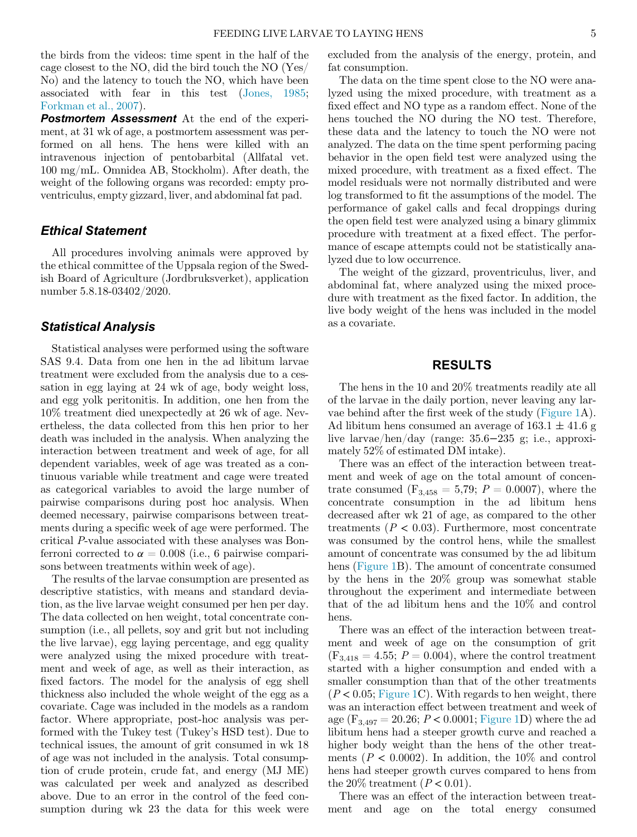the birds from the videos: time spent in the half of the cage closest to the NO, did the bird touch the NO (Yes/ No) and the latency to touch the NO, which have been associated with fear in this test [\(Jones, 1985](#page-10-22); [Forkman et al., 2007\)](#page-10-23).

**Postmortem Assessment** At the end of the experiment, at 31 wk of age, a postmortem assessment was performed on all hens. The hens were killed with an intravenous injection of pentobarbital (Allfatal vet. 100 mg/mL. Omnidea AB, Stockholm). After death, the weight of the following organs was recorded: empty proventriculus, empty gizzard, liver, and abdominal fat pad.

#### Ethical Statement

All procedures involving animals were approved by the ethical committee of the Uppsala region of the Swedish Board of Agriculture (Jordbruksverket), application number 5.8.18-03402/2020.

# Statistical Analysis

Statistical analyses were performed using the software SAS 9.4. Data from one hen in the ad libitum larvae treatment were excluded from the analysis due to a cessation in egg laying at 24 wk of age, body weight loss, and egg yolk peritonitis. In addition, one hen from the 10% treatment died unexpectedly at 26 wk of age. Nevertheless, the data collected from this hen prior to her death was included in the analysis. When analyzing the interaction between treatment and week of age, for all dependent variables, week of age was treated as a continuous variable while treatment and cage were treated as categorical variables to avoid the large number of pairwise comparisons during post hoc analysis. When deemed necessary, pairwise comparisons between treatments during a specific week of age were performed. The critical P-value associated with these analyses was Bonferroni corrected to  $\alpha = 0.008$  (i.e., 6 pairwise comparisons between treatments within week of age).

The results of the larvae consumption are presented as descriptive statistics, with means and standard deviation, as the live larvae weight consumed per hen per day. The data collected on hen weight, total concentrate consumption (i.e., all pellets, soy and grit but not including the live larvae), egg laying percentage, and egg quality were analyzed using the mixed procedure with treatment and week of age, as well as their interaction, as fixed factors. The model for the analysis of egg shell thickness also included the whole weight of the egg as a covariate. Cage was included in the models as a random factor. Where appropriate, post-hoc analysis was performed with the Tukey test (Tukey's HSD test). Due to technical issues, the amount of grit consumed in wk 18 of age was not included in the analysis. Total consumption of crude protein, crude fat, and energy (MJ ME) was calculated per week and analyzed as described above. Due to an error in the control of the feed consumption during wk 23 the data for this week were

excluded from the analysis of the energy, protein, and fat consumption.

The data on the time spent close to the NO were analyzed using the mixed procedure, with treatment as a fixed effect and NO type as a random effect. None of the hens touched the NO during the NO test. Therefore, these data and the latency to touch the NO were not analyzed. The data on the time spent performing pacing behavior in the open field test were analyzed using the mixed procedure, with treatment as a fixed effect. The model residuals were not normally distributed and were log transformed to fit the assumptions of the model. The performance of gakel calls and fecal droppings during the open field test were analyzed using a binary glimmix procedure with treatment at a fixed effect. The performance of escape attempts could not be statistically analyzed due to low occurrence.

The weight of the gizzard, proventriculus, liver, and abdominal fat, where analyzed using the mixed procedure with treatment as the fixed factor. In addition, the live body weight of the hens was included in the model as a covariate.

# RESULTS

The hens in the 10 and 20% treatments readily ate all of the larvae in the daily portion, never leaving any larvae behind after the first week of the study ([Figure 1](#page-5-0)A). Ad libitum hens consumed an average of  $163.1 \pm 41.6$  g live larvae/hen/day (range: 35.6−235 g; i.e., approximately 52% of estimated DM intake).

There was an effect of the interaction between treatment and week of age on the total amount of concentrate consumed  $(F_{3,458} = 5,79; P = 0.0007)$ , where the concentrate consumption in the ad libitum hens decreased after wk 21 of age, as compared to the other treatments ( $P < 0.03$ ). Furthermore, most concentrate was consumed by the control hens, while the smallest amount of concentrate was consumed by the ad libitum hens ([Figure 1](#page-5-0)B). The amount of concentrate consumed by the hens in the 20% group was somewhat stable throughout the experiment and intermediate between that of the ad libitum hens and the 10% and control hens.

There was an effect of the interaction between treatment and week of age on the consumption of grit  $(F_{3,418} = 4.55; P = 0.004)$ , where the control treatment started with a higher consumption and ended with a smaller consumption than that of the other treatments  $(P < 0.05;$  [Figure 1C](#page-5-0)). With regards to hen weight, there was an interaction effect between treatment and week of age  $(F_{3,497} = 20.26; P < 0.0001;$  [Figure 1](#page-5-0)D) where the ad libitum hens had a steeper growth curve and reached a higher body weight than the hens of the other treatments ( $P < 0.0002$ ). In addition, the 10% and control hens had steeper growth curves compared to hens from the 20% treatment  $(P < 0.01)$ .

There was an effect of the interaction between treatment and age on the total energy consumed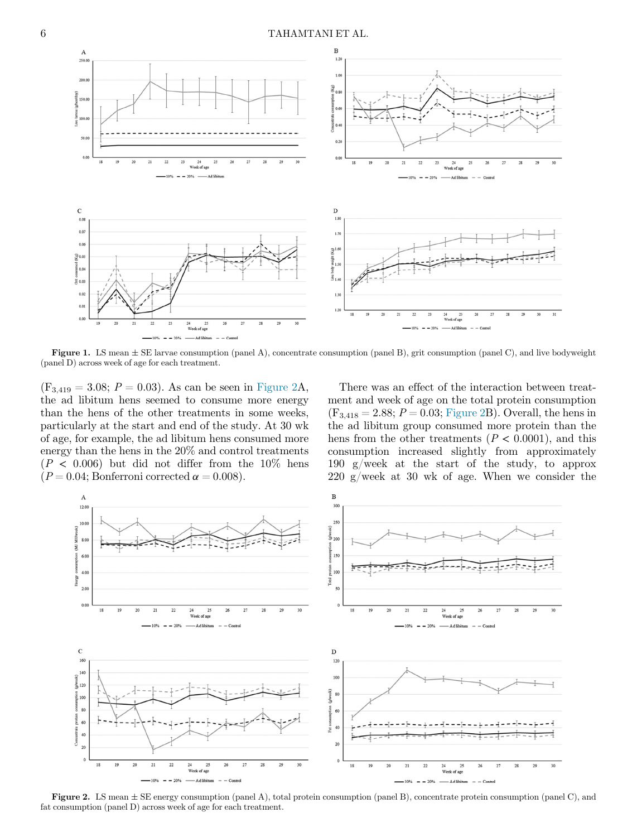<span id="page-5-0"></span>

**Figure 1.** LS mean  $\pm$  SE larvae consumption (panel A), concentrate consumption (panel B), grit consumption (panel C), and live bodyweight (panel D) across week of age for each treatment.

 $(F_{3,419} = 3.08; P = 0.03)$ . As can be seen in [Figure 2](#page-5-1)A, the ad libitum hens seemed to consume more energy than the hens of the other treatments in some weeks, particularly at the start and end of the study. At 30 wk of age, for example, the ad libitum hens consumed more energy than the hens in the 20% and control treatments  $(P < 0.006)$  but did not differ from the 10% hens  $(P = 0.04;$  Bonferroni corrected  $\alpha = 0.008$ ).

There was an effect of the interaction between treatment and week of age on the total protein consumption  $(F_{3,418} = 2.88; P = 0.03;$  [Figure 2](#page-5-1)B). Overall, the hens in the ad libitum group consumed more protein than the hens from the other treatments ( $P < 0.0001$ ), and this consumption increased slightly from approximately 190 g/week at the start of the study, to approx 220 g/week at 30 wk of age. When we consider the

<span id="page-5-1"></span>

Figure 2. LS mean  $\pm$  SE energy consumption (panel A), total protein consumption (panel B), concentrate protein consumption (panel C), and fat consumption (panel D) across week of age for each treatment.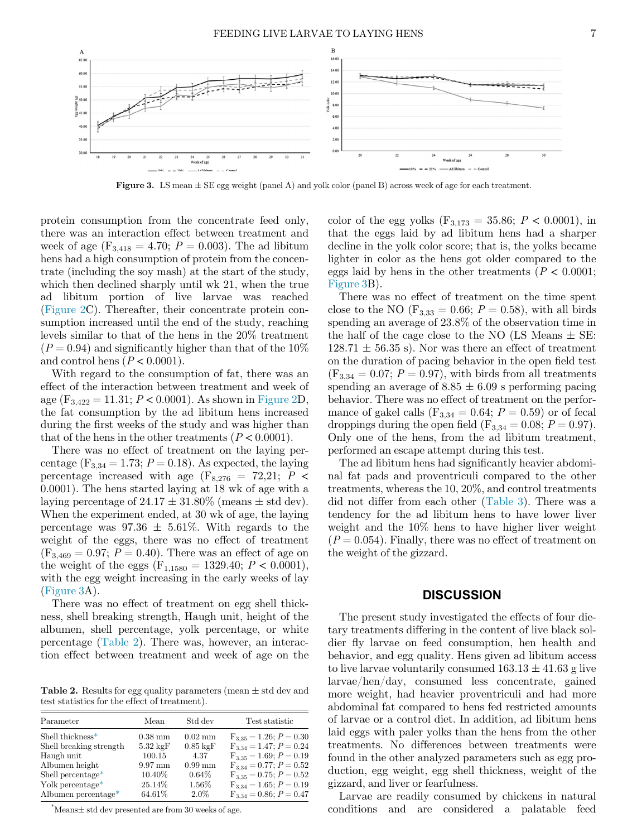<span id="page-6-0"></span>

**Figure 3.** LS mean  $\pm$  SE egg weight (panel A) and yolk color (panel B) across week of age for each treatment.

protein consumption from the concentrate feed only, there was an interaction effect between treatment and week of age ( $F_{3,418} = 4.70$ ;  $P = 0.003$ ). The ad libitum hens had a high consumption of protein from the concentrate (including the soy mash) at the start of the study, which then declined sharply until wk 21, when the true ad libitum portion of live larvae was reached ([Figure 2](#page-5-1)C). Thereafter, their concentrate protein consumption increased until the end of the study, reaching levels similar to that of the hens in the 20% treatment  $(P = 0.94)$  and significantly higher than that of the 10% and control hens ( $P < 0.0001$ ).

With regard to the consumption of fat, there was an effect of the interaction between treatment and week of age  $(F_{3,422} = 11.31; P < 0.0001)$ . As shown in [Figure 2](#page-5-1)D, the fat consumption by the ad libitum hens increased during the first weeks of the study and was higher than that of the hens in the other treatments ( $P < 0.0001$ ).

There was no effect of treatment on the laying percentage ( $F_{3,34} = 1.73$ ;  $P = 0.18$ ). As expected, the laying percentage increased with age ( $F_{8,276}$  = 72,21;  $P$  < 0.0001). The hens started laying at 18 wk of age with a laying percentage of  $24.17 \pm 31.80\%$  (means  $\pm$  std dev). When the experiment ended, at 30 wk of age, the laying percentage was  $97.36 \pm 5.61\%$ . With regards to the weight of the eggs, there was no effect of treatment  $(F_{3,469} = 0.97; P = 0.40)$ . There was an effect of age on the weight of the eggs  $(F_{1,1580} = 1329.40; P < 0.0001)$ , with the egg weight increasing in the early weeks of lay ([Figure 3A](#page-6-0)).

There was no effect of treatment on egg shell thickness, shell breaking strength, Haugh unit, height of the albumen, shell percentage, yolk percentage, or white percentage [\(Table 2\)](#page-6-1). There was, however, an interaction effect between treatment and week of age on the

<span id="page-6-1"></span>Table 2. Results for egg quality parameters (mean  $\pm$  std dev and test statistics for the effect of treatment).

| Parameter                     | Mean               | Std dev            | Test statistic              |
|-------------------------------|--------------------|--------------------|-----------------------------|
| Shell thickness*              | $0.38$ mm          | $0.02 \text{ mm}$  | $F_{3,35} = 1.26; P = 0.30$ |
| Shell breaking strength       | $5.32 \text{ kgF}$ | $0.85 \text{ kgF}$ | $F_{3,34} = 1.47; P = 0.24$ |
| Haugh unit                    | 100.15             | 4.37               | $F_{3,35} = 1.69; P = 0.19$ |
| Albumen height                | $9.97 \text{ mm}$  | $0.99$ mm          | $F_{3,34} = 0.77; P = 0.52$ |
| Shell percentage <sup>*</sup> | $10.40\%$          | $0.64\%$           | $F_{3,35} = 0.75; P = 0.52$ |
| Yolk percentage*              | 25.14\%            | 1.56%              | $F_{3,34} = 1.65; P = 0.19$ |
| Albumen percentage*           | 64.61%             | $2.0\%$            | $F_{3,34} = 0.86; P = 0.47$ |

<span id="page-6-2"></span> $*$ Means $\pm$  std dev presented are from 30 weeks of age.

color of the egg yolks  $(F_{3,173} = 35.86; P < 0.0001)$ , in that the eggs laid by ad libitum hens had a sharper decline in the yolk color score; that is, the yolks became lighter in color as the hens got older compared to the eggs laid by hens in the other treatments ( $P < 0.0001$ ; [Figure 3B](#page-6-0)).

There was no effect of treatment on the time spent close to the NO ( $F_{3,33} = 0.66$ ;  $P = 0.58$ ), with all birds spending an average of 23.8% of the observation time in the half of the cage close to the NO (LS Means  $\pm$  SE:  $128.71 \pm 56.35$  s). Nor was there an effect of treatment on the duration of pacing behavior in the open field test  $(F_{3,34} = 0.07; P = 0.97)$ , with birds from all treatments spending an average of  $8.85 \pm 6.09$  s performing pacing behavior. There was no effect of treatment on the performance of gakel calls ( $F_{3,34} = 0.64$ ;  $P = 0.59$ ) or of fecal droppings during the open field  $(F_{3,34} = 0.08; P = 0.97)$ . Only one of the hens, from the ad libitum treatment, performed an escape attempt during this test.

The ad libitum hens had significantly heavier abdominal fat pads and proventriculi compared to the other treatments, whereas the 10, 20%, and control treatments did not differ from each other [\(Table 3\)](#page-7-0). There was a tendency for the ad libitum hens to have lower liver weight and the 10% hens to have higher liver weight  $(P = 0.054)$ . Finally, there was no effect of treatment on the weight of the gizzard.

#### **DISCUSSION**

The present study investigated the effects of four dietary treatments differing in the content of live black soldier fly larvae on feed consumption, hen health and behavior, and egg quality. Hens given ad libitum access to live larvae voluntarily consumed  $163.13 \pm 41.63$  g live larvae/hen/day, consumed less concentrate, gained more weight, had heavier proventriculi and had more abdominal fat compared to hens fed restricted amounts of larvae or a control diet. In addition, ad libitum hens laid eggs with paler yolks than the hens from the other treatments. No differences between treatments were found in the other analyzed parameters such as egg production, egg weight, egg shell thickness, weight of the gizzard, and liver or fearfulness.

Larvae are readily consumed by chickens in natural conditions and are considered a palatable feed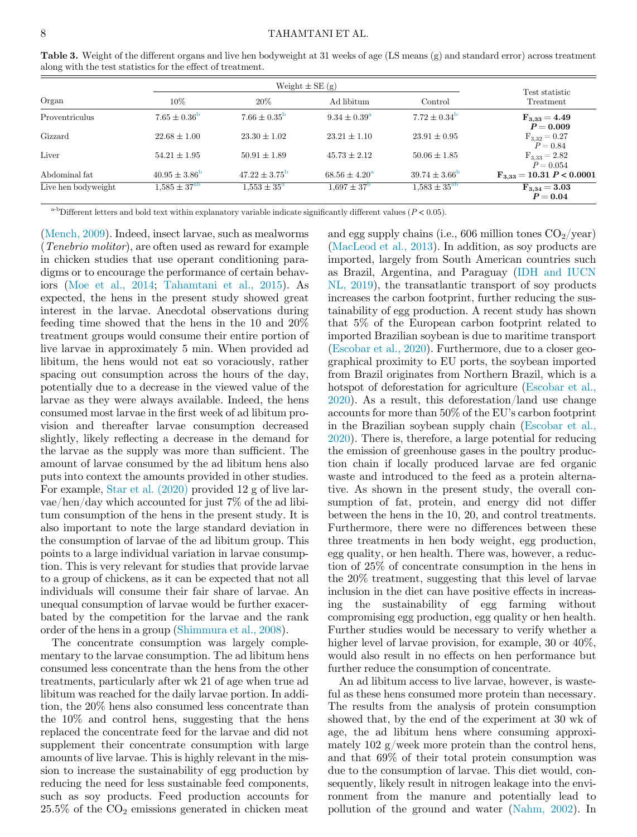|                     |                          | Weight $\pm$ SE $(g)$    |                          | Test statistic           |                                        |
|---------------------|--------------------------|--------------------------|--------------------------|--------------------------|----------------------------------------|
| Organ               | $10\%$                   | 20%                      | Ad libitum               | Control                  | Treatment                              |
| Proventriculus      | $7.65 \pm 0.36^{\rm b}$  | $7.66 \pm 0.35^{\rm b}$  | $9.34 \pm 0.39^{\rm a}$  | $7.72 \pm 0.34^{\rm b}$  | $F_{3,33} = 4.49$<br>$P = 0.009$       |
| Gizzard             | $22.68 \pm 1.00$         | $23.30 \pm 1.02$         | $23.21 \pm 1.10$         | $23.91 \pm 0.95$         | $F_{3,32} = 0.27$<br>$P = 0.84$        |
| Liver               | $54.21 \pm 1.95$         | $50.91 \pm 1.89$         | $45.73 \pm 2.12$         | $50.06 \pm 1.85$         | $F_{3,33} = 2.82$<br>$P = 0.054$       |
| Abdominal fat       | $40.95 \pm 3.86^{\circ}$ | $47.22 \pm 3.75^{\circ}$ | $68.56 \pm 4.20^{\circ}$ | $39.74 \pm 3.66^{\circ}$ | $F_{3,33} = 10.31$ P < 0.0001          |
| Live hen bodyweight | $1,585 \pm 37^{ab}$      | $1.553 \pm 35^{\rm a}$   | $1.697 \pm 37^{\rm b}$   | $1.583 \pm 35^{ab}$      | $\mathrm{F}_{3.34} = 3.03$<br>$P=0.04$ |

<span id="page-7-0"></span>Table 3. Weight of the different organs and live hen bodyweight at 31 weeks of age (LS means (g) and standard error) across treatment along with the test statistics for the effect of treatment.

<sup>a-b</sup>Different letters and bold text within explanatory variable indicate significantly different values ( $P < 0.05$ ).

<span id="page-7-1"></span>([Mench, 2009](#page-10-24)). Indeed, insect larvae, such as mealworms (Tenebrio molitor), are often used as reward for example in chicken studies that use operant conditioning paradigms or to encourage the performance of certain behaviors ([Moe et al., 2014](#page-10-25); [Tahamtani et al., 2015](#page-10-26)). As expected, the hens in the present study showed great interest in the larvae. Anecdotal observations during feeding time showed that the hens in the 10 and 20% treatment groups would consume their entire portion of live larvae in approximately 5 min. When provided ad libitum, the hens would not eat so voraciously, rather spacing out consumption across the hours of the day, potentially due to a decrease in the viewed value of the larvae as they were always available. Indeed, the hens consumed most larvae in the first week of ad libitum provision and thereafter larvae consumption decreased slightly, likely reflecting a decrease in the demand for the larvae as the supply was more than sufficient. The amount of larvae consumed by the ad libitum hens also puts into context the amounts provided in other studies. For example, [Star et al. \(2020\)](#page-10-13) provided 12 g of live larvae/hen/day which accounted for just 7% of the ad libitum consumption of the hens in the present study. It is also important to note the large standard deviation in the consumption of larvae of the ad libitum group. This points to a large individual variation in larvae consumption. This is very relevant for studies that provide larvae to a group of chickens, as it can be expected that not all individuals will consume their fair share of larvae. An unequal consumption of larvae would be further exacerbated by the competition for the larvae and the rank order of the hens in a group ([Shimmura et al., 2008](#page-10-27)).

The concentrate consumption was largely complementary to the larvae consumption. The ad libitum hens consumed less concentrate than the hens from the other treatments, particularly after wk 21 of age when true ad libitum was reached for the daily larvae portion. In addition, the 20% hens also consumed less concentrate than the 10% and control hens, suggesting that the hens replaced the concentrate feed for the larvae and did not supplement their concentrate consumption with large amounts of live larvae. This is highly relevant in the mission to increase the sustainability of egg production by reducing the need for less sustainable feed components, such as soy products. Feed production accounts for  $25.5\%$  of the  $CO<sub>2</sub>$  emissions generated in chicken meat and egg supply chains (i.e., 606 million tones  $CO_2$ /year) ([MacLeod et al., 2013](#page-10-28)). In addition, as soy products are imported, largely from South American countries such as Brazil, Argentina, and Paraguay [\(IDH and IUCN](#page-10-29) [NL, 2019](#page-10-29)), the transatlantic transport of soy products increases the carbon footprint, further reducing the sustainability of egg production. A recent study has shown that 5% of the European carbon footprint related to imported Brazilian soybean is due to maritime transport ([Escobar et al., 2020\)](#page-9-4). Furthermore, due to a closer geographical proximity to EU ports, the soybean imported from Brazil originates from Northern Brazil, which is a hotspot of deforestation for agriculture [\(Escobar et al.,](#page-9-4) [2020\)](#page-9-4). As a result, this deforestation/land use change accounts for more than 50% of the EU's carbon footprint in the Brazilian soybean supply chain ([Escobar et al.,](#page-9-4) [2020\)](#page-9-4). There is, therefore, a large potential for reducing the emission of greenhouse gases in the poultry production chain if locally produced larvae are fed organic waste and introduced to the feed as a protein alternative. As shown in the present study, the overall consumption of fat, protein, and energy did not differ between the hens in the 10, 20, and control treatments. Furthermore, there were no differences between these three treatments in hen body weight, egg production, egg quality, or hen health. There was, however, a reduction of 25% of concentrate consumption in the hens in the 20% treatment, suggesting that this level of larvae inclusion in the diet can have positive effects in increasing the sustainability of egg farming without compromising egg production, egg quality or hen health. Further studies would be necessary to verify whether a higher level of larvae provision, for example, 30 or  $40\%$ , would also result in no effects on hen performance but further reduce the consumption of concentrate.

An ad libitum access to live larvae, however, is wasteful as these hens consumed more protein than necessary. The results from the analysis of protein consumption showed that, by the end of the experiment at 30 wk of age, the ad libitum hens where consuming approximately  $102$  g/week more protein than the control hens, and that 69% of their total protein consumption was due to the consumption of larvae. This diet would, consequently, likely result in nitrogen leakage into the environment from the manure and potentially lead to pollution of the ground and water ([Nahm, 2002](#page-10-30)). In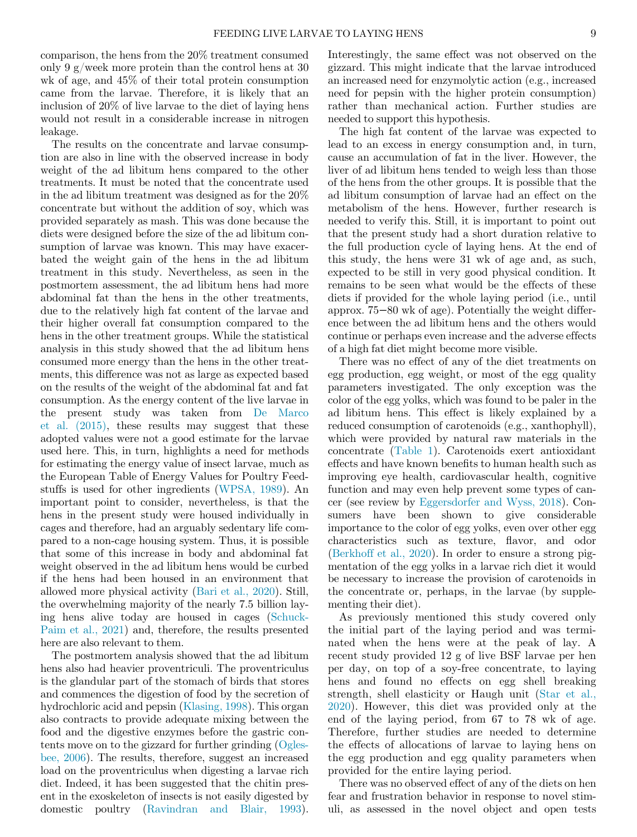comparison, the hens from the 20% treatment consumed only 9 g/week more protein than the control hens at 30 wk of age, and 45% of their total protein consumption came from the larvae. Therefore, it is likely that an inclusion of 20% of live larvae to the diet of laying hens would not result in a considerable increase in nitrogen leakage.

The results on the concentrate and larvae consumption are also in line with the observed increase in body weight of the ad libitum hens compared to the other treatments. It must be noted that the concentrate used in the ad libitum treatment was designed as for the 20% concentrate but without the addition of soy, which was provided separately as mash. This was done because the diets were designed before the size of the ad libitum consumption of larvae was known. This may have exacerbated the weight gain of the hens in the ad libitum treatment in this study. Nevertheless, as seen in the postmortem assessment, the ad libitum hens had more abdominal fat than the hens in the other treatments, due to the relatively high fat content of the larvae and their higher overall fat consumption compared to the hens in the other treatment groups. While the statistical analysis in this study showed that the ad libitum hens consumed more energy than the hens in the other treatments, this difference was not as large as expected based on the results of the weight of the abdominal fat and fat consumption. As the energy content of the live larvae in the present study was taken from [De Marco](#page-9-8) [et al. \(2015\),](#page-9-8) these results may suggest that these adopted values were not a good estimate for the larvae used here. This, in turn, highlights a need for methods for estimating the energy value of insect larvae, much as the European Table of Energy Values for Poultry Feedstuffs is used for other ingredients ([WPSA, 1989](#page-10-17)). An important point to consider, nevertheless, is that the hens in the present study were housed individually in cages and therefore, had an arguably sedentary life compared to a non-cage housing system. Thus, it is possible that some of this increase in body and abdominal fat weight observed in the ad libitum hens would be curbed if the hens had been housed in an environment that allowed more physical activity ([Bari et al., 2020](#page-9-12)). Still, the overwhelming majority of the nearly 7.5 billion laying hens alive today are housed in cages ([Schuck-](#page-10-31)[Paim et al., 2021](#page-10-31)) and, therefore, the results presented here are also relevant to them.

The postmortem analysis showed that the ad libitum hens also had heavier proventriculi. The proventriculus is the glandular part of the stomach of birds that stores and commences the digestion of food by the secretion of hydrochloric acid and pepsin [\(Klasing, 1998\)](#page-10-32). This organ also contracts to provide adequate mixing between the food and the digestive enzymes before the gastric contents move on to the gizzard for further grinding ([Ogles](#page-10-33)[bee, 2006](#page-10-33)). The results, therefore, suggest an increased load on the proventriculus when digesting a larvae rich diet. Indeed, it has been suggested that the chitin present in the exoskeleton of insects is not easily digested by domestic poultry [\(Ravindran and Blair, 1993](#page-10-34)). Interestingly, the same effect was not observed on the gizzard. This might indicate that the larvae introduced an increased need for enzymolytic action (e.g., increased need for pepsin with the higher protein consumption) rather than mechanical action. Further studies are needed to support this hypothesis.

The high fat content of the larvae was expected to lead to an excess in energy consumption and, in turn, cause an accumulation of fat in the liver. However, the liver of ad libitum hens tended to weigh less than those of the hens from the other groups. It is possible that the ad libitum consumption of larvae had an effect on the metabolism of the hens. However, further research is needed to verify this. Still, it is important to point out that the present study had a short duration relative to the full production cycle of laying hens. At the end of this study, the hens were 31 wk of age and, as such, expected to be still in very good physical condition. It remains to be seen what would be the effects of these diets if provided for the whole laying period (i.e., until approx. 75−80 wk of age). Potentially the weight difference between the ad libitum hens and the others would continue or perhaps even increase and the adverse effects of a high fat diet might become more visible.

There was no effect of any of the diet treatments on egg production, egg weight, or most of the egg quality parameters investigated. The only exception was the color of the egg yolks, which was found to be paler in the ad libitum hens. This effect is likely explained by a reduced consumption of carotenoids (e.g., xanthophyll), which were provided by natural raw materials in the concentrate ([Table 1](#page-2-0)). Carotenoids exert antioxidant effects and have known benefits to human health such as improving eye health, cardiovascular health, cognitive function and may even help prevent some types of cancer (see review by [Eggersdorfer and Wyss, 2018](#page-9-13)). Consumers have been shown to give considerable importance to the color of egg yolks, even over other egg characteristics such as texture, flavor, and odor ([Berkhoff et al., 2020\)](#page-9-14). In order to ensure a strong pigmentation of the egg yolks in a larvae rich diet it would be necessary to increase the provision of carotenoids in the concentrate or, perhaps, in the larvae (by supplementing their diet).

As previously mentioned this study covered only the initial part of the laying period and was terminated when the hens were at the peak of lay. A recent study provided 12 g of live BSF larvae per hen per day, on top of a soy-free concentrate, to laying hens and found no effects on egg shell breaking strength, shell elasticity or Haugh unit ([Star et al.,](#page-10-13) [2020](#page-10-13)). However, this diet was provided only at the end of the laying period, from 67 to 78 wk of age. Therefore, further studies are needed to determine the effects of allocations of larvae to laying hens on the egg production and egg quality parameters when provided for the entire laying period.

There was no observed effect of any of the diets on hen fear and frustration behavior in response to novel stimuli, as assessed in the novel object and open tests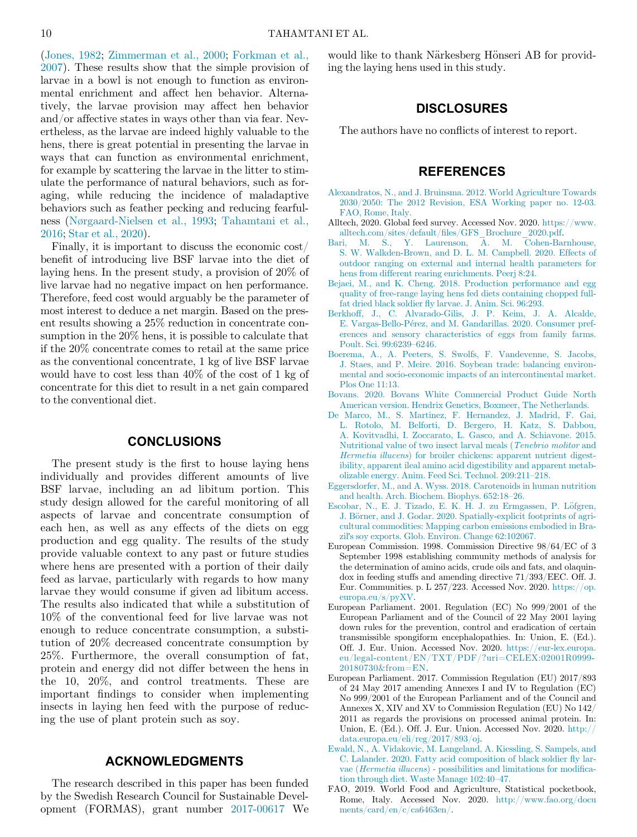([Jones, 1982;](#page-10-18) [Zimmerman et al., 2000;](#page-10-21) [Forkman et al.,](#page-10-23) [2007\)](#page-10-23). These results show that the simple provision of larvae in a bowl is not enough to function as environmental enrichment and affect hen behavior. Alternatively, the larvae provision may affect hen behavior and/or affective states in ways other than via fear. Nevertheless, as the larvae are indeed highly valuable to the hens, there is great potential in presenting the larvae in ways that can function as environmental enrichment, for example by scattering the larvae in the litter to stimulate the performance of natural behaviors, such as foraging, while reducing the incidence of maladaptive behaviors such as feather pecking and reducing fearfulness ([Nørgaard-Nielsen et al., 1993](#page-10-35); [Tahamtani et al.,](#page-10-36) [2016;](#page-10-36) [Star et al., 2020](#page-10-13)).

<span id="page-9-14"></span><span id="page-9-12"></span><span id="page-9-9"></span><span id="page-9-3"></span><span id="page-9-1"></span><span id="page-9-0"></span>Finally, it is important to discuss the economic cost/ benefit of introducing live BSF larvae into the diet of laying hens. In the present study, a provision of 20% of live larvae had no negative impact on hen performance. Therefore, feed cost would arguably be the parameter of most interest to deduce a net margin. Based on the present results showing a 25% reduction in concentrate consumption in the 20% hens, it is possible to calculate that if the 20% concentrate comes to retail at the same price as the conventional concentrate, 1 kg of live BSF larvae would have to cost less than 40% of the cost of 1 kg of concentrate for this diet to result in a net gain compared to the conventional diet.

## **CONCLUSIONS**

<span id="page-9-13"></span><span id="page-9-11"></span><span id="page-9-10"></span><span id="page-9-8"></span><span id="page-9-6"></span><span id="page-9-4"></span>The present study is the first to house laying hens individually and provides different amounts of live BSF larvae, including an ad libitum portion. This study design allowed for the careful monitoring of all aspects of larvae and concentrate consumption of each hen, as well as any effects of the diets on egg production and egg quality. The results of the study provide valuable context to any past or future studies where hens are presented with a portion of their daily feed as larvae, particularly with regards to how many larvae they would consume if given ad libitum access. The results also indicated that while a substitution of 10% of the conventional feed for live larvae was not enough to reduce concentrate consumption, a substitution of 20% decreased concentrate consumption by 25%. Furthermore, the overall consumption of fat, protein and energy did not differ between the hens in the 10, 20%, and control treatments. These are important findings to consider when implementing insects in laying hen feed with the purpose of reducing the use of plant protein such as soy.

## ACKNOWLEDGMENTS

<span id="page-9-15"></span><span id="page-9-7"></span><span id="page-9-5"></span><span id="page-9-2"></span>The research described in this paper has been funded by the Swedish Research Council for Sustainable Development (FORMAS), grant number [2017-00617](#page-9-15) We would like to thank Närkesberg Hönseri AB for providing the laying hens used in this study.

# DISCLOSURES

The authors have no conflicts of interest to report.

# REFERENCES

- [Alexandratos, N., and J. Bruinsma. 2012. World Agriculture Towards](http://refhub.elsevier.com/S0032-5791(21)00423-5/sbref0001) [2030/2050: The 2012 Revision, ESA Working paper no. 12-03.](http://refhub.elsevier.com/S0032-5791(21)00423-5/sbref0001) [FAO, Rome, Italy.](http://refhub.elsevier.com/S0032-5791(21)00423-5/sbref0001)
- Alltech, 2020. Global feed survey. Accessed Nov. 2020. [https://www.](https://www.alltech.com/sites/default/files/GFS_Brochure_2020.pdf) alltech.com/sites/default/fi[les/GFS\\_Brochure\\_2020.pdf.](https://www.alltech.com/sites/default/files/GFS_Brochure_2020.pdf)
- [Bari, M. S., Y. Laurenson, A. M. Cohen-Barnhouse,](http://refhub.elsevier.com/S0032-5791(21)00423-5/sbref0003) [S. W. Walkden-Brown, and D. L. M. Campbell. 2020. Effects of](http://refhub.elsevier.com/S0032-5791(21)00423-5/sbref0003) [outdoor ranging on external and internal health parameters for](http://refhub.elsevier.com/S0032-5791(21)00423-5/sbref0003) [hens from different rearing enrichments. Peerj 8:24.](http://refhub.elsevier.com/S0032-5791(21)00423-5/sbref0003)
- [Bejaei, M., and K. Cheng. 2018. Production performance and egg](http://refhub.elsevier.com/S0032-5791(21)00423-5/sbref0004) [quality of free-range laying hens fed diets containing chopped full](http://refhub.elsevier.com/S0032-5791(21)00423-5/sbref0004)fat dried black soldier fl[y larvae. J. Anim. Sci. 96:293.](http://refhub.elsevier.com/S0032-5791(21)00423-5/sbref0004)
- [Berkhoff, J., C. Alvarado-Gilis, J. P. Keim, J. A. Alcalde,](http://refhub.elsevier.com/S0032-5791(21)00423-5/sbref0005) [E. Vargas-Bello-P](http://refhub.elsevier.com/S0032-5791(21)00423-5/sbref0005)érez, and M. Gandarillas. 2020. Consumer pref[erences and sensory characteristics of eggs from family farms.](http://refhub.elsevier.com/S0032-5791(21)00423-5/sbref0005) [Poult. Sci. 99:6239](http://refhub.elsevier.com/S0032-5791(21)00423-5/sbref0005)–6246.
- [Boerema, A., A. Peeters, S. Swolfs, F. Vandevenne, S. Jacobs,](http://refhub.elsevier.com/S0032-5791(21)00423-5/sbref0006) [J. Staes, and P. Meire. 2016. Soybean trade: balancing environ](http://refhub.elsevier.com/S0032-5791(21)00423-5/sbref0006)[mental and socio-economic impacts of an intercontinental market.](http://refhub.elsevier.com/S0032-5791(21)00423-5/sbref0006) [Plos One 11:13.](http://refhub.elsevier.com/S0032-5791(21)00423-5/sbref0006)
- [Bovans. 2020. Bovans White Commercial Product Guide North](http://refhub.elsevier.com/S0032-5791(21)00423-5/sbref0007) [American version. Hendrix Genetics, Boxmeer, The Netherlands.](http://refhub.elsevier.com/S0032-5791(21)00423-5/sbref0007)
- [De Marco, M., S. Martinez, F. Hernandez, J. Madrid, F. Gai,](http://refhub.elsevier.com/S0032-5791(21)00423-5/sbref0008) [L. Rotolo, M. Belforti, D. Bergero, H. Katz, S. Dabbou,](http://refhub.elsevier.com/S0032-5791(21)00423-5/sbref0008) [A. Kovitvadhi, I. Zoccarato, L. Gasco, and A. Schiavone. 2015.](http://refhub.elsevier.com/S0032-5791(21)00423-5/sbref0008) [Nutritional value of two insect larval meals \(](http://refhub.elsevier.com/S0032-5791(21)00423-5/sbref0008)Tenebrio molitor and Hermetia illucens[\) for broiler chickens: apparent nutrient digest](http://refhub.elsevier.com/S0032-5791(21)00423-5/sbref0008)[ibility, apparent ileal amino acid digestibility and apparent metab](http://refhub.elsevier.com/S0032-5791(21)00423-5/sbref0008)[olizable energy. Anim. Feed Sci. Technol. 209:211](http://refhub.elsevier.com/S0032-5791(21)00423-5/sbref0008)–218.
- [Eggersdorfer, M., and A. Wyss. 2018. Carotenoids in human nutrition](http://refhub.elsevier.com/S0032-5791(21)00423-5/sbref0009) [and health. Arch. Biochem. Biophys. 652:18](http://refhub.elsevier.com/S0032-5791(21)00423-5/sbref0009)–26.
- [Escobar, N., E. J. Tizado, E. K. H. J. zu Ermgassen, P. L](http://refhub.elsevier.com/S0032-5791(21)00423-5/sbref0010)öfgren, [J. B](http://refhub.elsevier.com/S0032-5791(21)00423-5/sbref0010)ö[rner, and J. Godar. 2020. Spatially-explicit footprints of agri](http://refhub.elsevier.com/S0032-5791(21)00423-5/sbref0010)[cultural commodities: Mapping carbon emissions embodied in Bra](http://refhub.elsevier.com/S0032-5791(21)00423-5/sbref0010)zil'[s soy exports. Glob. Environ. Change 62:102067.](http://refhub.elsevier.com/S0032-5791(21)00423-5/sbref0010)
- European Commission. 1998. Commission Directive 98/64/EC of 3 September 1998 establishing community methods of analysis for the determination of amino acids, crude oils and fats, and olaquindox in feeding stuffs and amending directive 71/393/EEC. Off. J. Eur. Communities. p. L  $257/223$ . Accessed Nov. 2020. [https://op.](https://op.europa.eu/s/pyXV) [europa.eu/s/pyXV.](https://op.europa.eu/s/pyXV)
- European Parliament. 2001. Regulation (EC) No 999/2001 of the European Parliament and of the Council of 22 May 2001 laying down rules for the prevention, control and eradication of certain transmissible spongiform encephalopathies. In: Union, E. (Ed.). Off. J. Eur. Union. Accessed Nov. 2020. [https://eur-lex.europa.](https://eur-lex.europa.eu/legal-content/EN/TXT/PDF/?uri=CELEX:02001R0999-20180730&from=EN)  $_{\rm eu/legal\text{-}content/EN/TXT/PDF/?uri=CELEX:02001R0999-$ [20180730&from=EN.](https://eur-lex.europa.eu/legal-content/EN/TXT/PDF/?uri=CELEX:02001R0999-20180730&from=EN)
- European Parliament. 2017. Commission Regulation (EU) 2017/893 of 24 May 2017 amending Annexes I and IV to Regulation (EC) No 999/2001 of the European Parliament and of the Council and Annexes X, XIV and XV to Commission Regulation (EU) No 142/ 2011 as regards the provisions on processed animal protein. In: Union, E. (Ed.). Off. J. Eur. Union. Accessed Nov. 2020. [http://](http://data.europa.eu/eli/reg/2017/893/oj) [data.europa.eu/eli/reg/2017/893/oj](http://data.europa.eu/eli/reg/2017/893/oj).
- [Ewald, N., A. Vidakovic, M. Langeland, A. Kiessling, S. Sampels, and](http://refhub.elsevier.com/S0032-5791(21)00423-5/sbref0014) [C. Lalander. 2020. Fatty acid composition of black soldier](http://refhub.elsevier.com/S0032-5791(21)00423-5/sbref0014) fly larvae (Hermetia illucens[\) - possibilities and limitations for modi](http://refhub.elsevier.com/S0032-5791(21)00423-5/sbref0014)fica[tion through diet. Waste Manage 102:40](http://refhub.elsevier.com/S0032-5791(21)00423-5/sbref0014)–47.
- FAO, 2019. World Food and Agriculture, Statistical pocketbook, Rome, Italy. Accessed Nov. 2020. [http://www.fao.org/docu](http://www.fao.org/documents/card/en/c/ca6463en/) [ments/card/en/c/ca6463en/](http://www.fao.org/documents/card/en/c/ca6463en/).